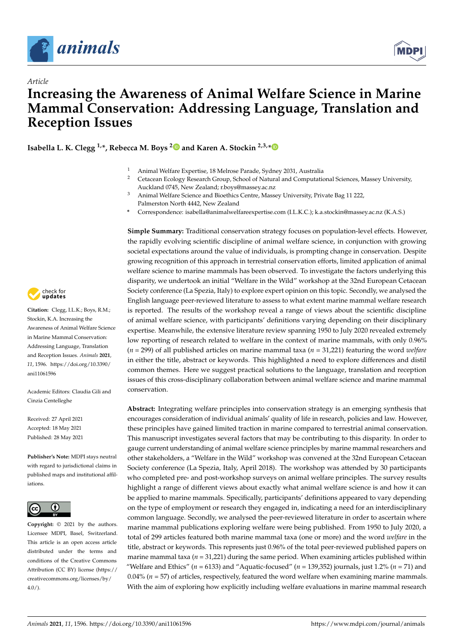

*Article*



# **Increasing the Awareness of Animal Welfare Science in Marine Mammal Conservation: Addressing Language, Translation and Reception Issues**

**Isabella L. K. Clegg 1,\*, Rebecca M. Boys [2](https://orcid.org/0000-0001-6427-800X) and Karen A. Stockin 2,3,[\\*](https://orcid.org/0000-0002-2981-3983)**

- <sup>1</sup> Animal Welfare Expertise, 18 Melrose Parade, Sydney 2031, Australia
	- <sup>2</sup> Cetacean Ecology Research Group, School of Natural and Computational Sciences, Massey University, Auckland 0745, New Zealand; r.boys@massey.ac.nz
- <sup>3</sup> Animal Welfare Science and Bioethics Centre, Massey University, Private Bag 11 222, Palmerston North 4442, New Zealand
- **\*** Correspondence: isabella@animalwelfareexpertise.com (I.L.K.C.); k.a.stockin@massey.ac.nz (K.A.S.)

**Simple Summary:** Traditional conservation strategy focuses on population-level effects. However, the rapidly evolving scientific discipline of animal welfare science, in conjunction with growing societal expectations around the value of individuals, is prompting change in conservation. Despite growing recognition of this approach in terrestrial conservation efforts, limited application of animal welfare science to marine mammals has been observed. To investigate the factors underlying this disparity, we undertook an initial "Welfare in the Wild" workshop at the 32nd European Cetacean Society conference (La Spezia, Italy) to explore expert opinion on this topic. Secondly, we analysed the English language peer-reviewed literature to assess to what extent marine mammal welfare research is reported. The results of the workshop reveal a range of views about the scientific discipline of animal welfare science, with participants' definitions varying depending on their disciplinary expertise. Meanwhile, the extensive literature review spanning 1950 to July 2020 revealed extremely low reporting of research related to welfare in the context of marine mammals, with only 0.96% (*n* = 299) of all published articles on marine mammal taxa (*n* = 31,221) featuring the word *welfare* in either the title, abstract or keywords. This highlighted a need to explore differences and distil common themes. Here we suggest practical solutions to the language, translation and reception issues of this cross-disciplinary collaboration between animal welfare science and marine mammal conservation.

**Abstract:** Integrating welfare principles into conservation strategy is an emerging synthesis that encourages consideration of individual animals' quality of life in research, policies and law. However, these principles have gained limited traction in marine compared to terrestrial animal conservation. This manuscript investigates several factors that may be contributing to this disparity. In order to gauge current understanding of animal welfare science principles by marine mammal researchers and other stakeholders, a "Welfare in the Wild" workshop was convened at the 32nd European Cetacean Society conference (La Spezia, Italy, April 2018). The workshop was attended by 30 participants who completed pre- and post-workshop surveys on animal welfare principles. The survey results highlight a range of different views about exactly what animal welfare science is and how it can be applied to marine mammals. Specifically, participants' definitions appeared to vary depending on the type of employment or research they engaged in, indicating a need for an interdisciplinary common language. Secondly, we analysed the peer-reviewed literature in order to ascertain where marine mammal publications exploring welfare were being published. From 1950 to July 2020, a total of 299 articles featured both marine mammal taxa (one or more) and the word *welfare* in the title, abstract or keywords. This represents just 0.96% of the total peer-reviewed published papers on marine mammal taxa  $(n = 31,221)$  during the same period. When examining articles published within "Welfare and Ethics" ( $n = 6133$ ) and "Aquatic-focused" ( $n = 139,352$ ) journals, just 1.2% ( $n = 71$ ) and  $0.04\%$  ( $n = 57$ ) of articles, respectively, featured the word welfare when examining marine mammals. With the aim of exploring how explicitly including welfare evaluations in marine mammal research



**Citation:** Clegg, I.L.K.; Boys, R.M.; Stockin, K.A. Increasing the Awareness of Animal Welfare Science in Marine Mammal Conservation: Addressing Language, Translation and Reception Issues. *Animals* **2021**, *11*, 1596. [https://doi.org/10.3390/](https://doi.org/10.3390/ani11061596) [ani11061596](https://doi.org/10.3390/ani11061596)

Academic Editors: Claudia Gili and Cinzia Centelleghe

Received: 27 April 2021 Accepted: 18 May 2021 Published: 28 May 2021

**Publisher's Note:** MDPI stays neutral with regard to jurisdictional claims in published maps and institutional affiliations.



**Copyright:** © 2021 by the authors. Licensee MDPI, Basel, Switzerland. This article is an open access article distributed under the terms and conditions of the Creative Commons Attribution (CC BY) license (https:/[/](https://creativecommons.org/licenses/by/4.0/) [creativecommons.org/licenses/by/](https://creativecommons.org/licenses/by/4.0/)  $4.0/$ ).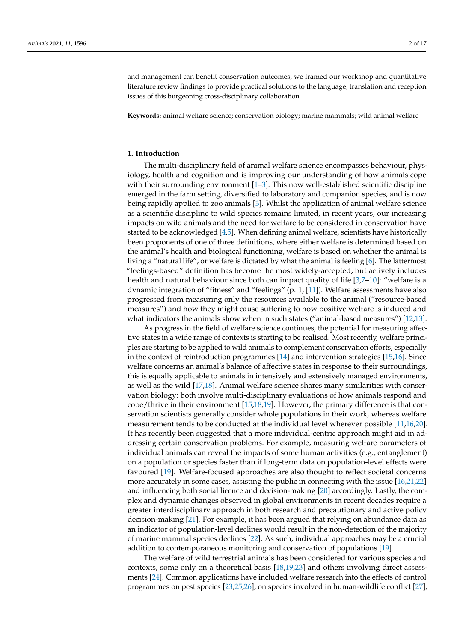and management can benefit conservation outcomes, we framed our workshop and quantitative literature review findings to provide practical solutions to the language, translation and reception issues of this burgeoning cross-disciplinary collaboration.

**Keywords:** animal welfare science; conservation biology; marine mammals; wild animal welfare

## **1. Introduction**

The multi-disciplinary field of animal welfare science encompasses behaviour, physiology, health and cognition and is improving our understanding of how animals cope with their surrounding environment  $[1-3]$  $[1-3]$ . This now well-established scientific discipline emerged in the farm setting, diversified to laboratory and companion species, and is now being rapidly applied to zoo animals [\[3\]](#page-13-1). Whilst the application of animal welfare science as a scientific discipline to wild species remains limited, in recent years, our increasing impacts on wild animals and the need for welfare to be considered in conservation have started to be acknowledged [\[4](#page-13-2)[,5\]](#page-13-3). When defining animal welfare, scientists have historically been proponents of one of three definitions, where either welfare is determined based on the animal's health and biological functioning, welfare is based on whether the animal is living a "natural life", or welfare is dictated by what the animal is feeling [\[6\]](#page-13-4). The lattermost "feelings-based" definition has become the most widely-accepted, but actively includes health and natural behaviour since both can impact quality of life [\[3,](#page-13-1)[7](#page-13-5)[–10\]](#page-13-6): "welfare is a dynamic integration of "fitness" and "feelings" (p. 1, [\[11\]](#page-13-7)). Welfare assessments have also progressed from measuring only the resources available to the animal ("resource-based measures") and how they might cause suffering to how positive welfare is induced and what indicators the animals show when in such states ("animal-based measures") [\[12](#page-13-8)[,13\]](#page-13-9).

As progress in the field of welfare science continues, the potential for measuring affective states in a wide range of contexts is starting to be realised. Most recently, welfare principles are starting to be applied to wild animals to complement conservation efforts, especially in the context of reintroduction programmes [\[14\]](#page-13-10) and intervention strategies [\[15,](#page-13-11)[16\]](#page-13-12). Since welfare concerns an animal's balance of affective states in response to their surroundings, this is equally applicable to animals in intensively and extensively managed environments, as well as the wild [\[17](#page-13-13)[,18\]](#page-13-14). Animal welfare science shares many similarities with conservation biology: both involve multi-disciplinary evaluations of how animals respond and cope/thrive in their environment [\[15,](#page-13-11)[18,](#page-13-14)[19\]](#page-13-15). However, the primary difference is that conservation scientists generally consider whole populations in their work, whereas welfare measurement tends to be conducted at the individual level wherever possible [\[11,](#page-13-7)[16,](#page-13-12)[20\]](#page-13-16). It has recently been suggested that a more individual-centric approach might aid in addressing certain conservation problems. For example, measuring welfare parameters of individual animals can reveal the impacts of some human activities (e.g., entanglement) on a population or species faster than if long-term data on population-level effects were favoured [\[19\]](#page-13-15). Welfare-focused approaches are also thought to reflect societal concerns more accurately in some cases, assisting the public in connecting with the issue [\[16,](#page-13-12)[21](#page-13-17)[,22\]](#page-13-18) and influencing both social licence and decision-making [\[20\]](#page-13-16) accordingly. Lastly, the complex and dynamic changes observed in global environments in recent decades require a greater interdisciplinary approach in both research and precautionary and active policy decision-making [\[21\]](#page-13-17). For example, it has been argued that relying on abundance data as an indicator of population-level declines would result in the non-detection of the majority of marine mammal species declines [\[22\]](#page-13-18). As such, individual approaches may be a crucial addition to contemporaneous monitoring and conservation of populations [\[19\]](#page-13-15).

The welfare of wild terrestrial animals has been considered for various species and contexts, some only on a theoretical basis [\[18,](#page-13-14)[19,](#page-13-15)[23\]](#page-14-0) and others involving direct assessments [\[24\]](#page-14-1). Common applications have included welfare research into the effects of control programmes on pest species [\[23,](#page-14-0)[25,](#page-14-2)[26\]](#page-14-3), on species involved in human-wildlife conflict [\[27\]](#page-14-4),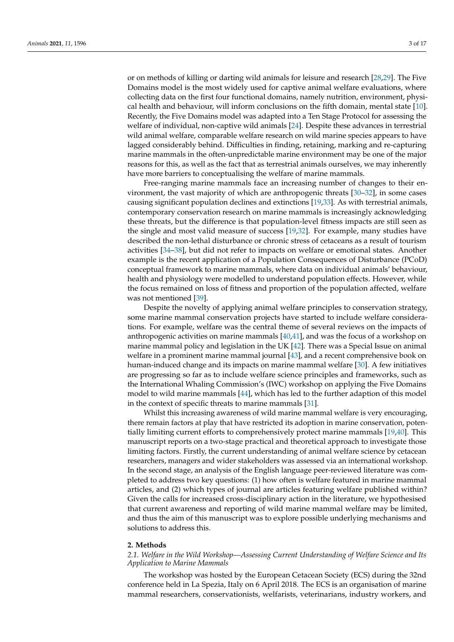or on methods of killing or darting wild animals for leisure and research [\[28,](#page-14-5)[29\]](#page-14-6). The Five Domains model is the most widely used for captive animal welfare evaluations, where collecting data on the first four functional domains, namely nutrition, environment, physical health and behaviour, will inform conclusions on the fifth domain, mental state [\[10\]](#page-13-6). Recently, the Five Domains model was adapted into a Ten Stage Protocol for assessing the welfare of individual, non-captive wild animals [\[24\]](#page-14-1). Despite these advances in terrestrial wild animal welfare, comparable welfare research on wild marine species appears to have lagged considerably behind. Difficulties in finding, retaining, marking and re-capturing marine mammals in the often-unpredictable marine environment may be one of the major reasons for this, as well as the fact that as terrestrial animals ourselves, we may inherently have more barriers to conceptualising the welfare of marine mammals.

Free-ranging marine mammals face an increasing number of changes to their environment, the vast majority of which are anthropogenic threats [\[30–](#page-14-7)[32\]](#page-14-8), in some cases causing significant population declines and extinctions [\[19](#page-13-15)[,33\]](#page-14-9). As with terrestrial animals, contemporary conservation research on marine mammals is increasingly acknowledging these threats, but the difference is that population-level fitness impacts are still seen as the single and most valid measure of success [\[19](#page-13-15)[,32\]](#page-14-8). For example, many studies have described the non-lethal disturbance or chronic stress of cetaceans as a result of tourism activities [\[34–](#page-14-10)[38\]](#page-14-11), but did not refer to impacts on welfare or emotional states. Another example is the recent application of a Population Consequences of Disturbance (PCoD) conceptual framework to marine mammals, where data on individual animals' behaviour, health and physiology were modelled to understand population effects. However, while the focus remained on loss of fitness and proportion of the population affected, welfare was not mentioned [\[39\]](#page-14-12).

Despite the novelty of applying animal welfare principles to conservation strategy, some marine mammal conservation projects have started to include welfare considerations. For example, welfare was the central theme of several reviews on the impacts of anthropogenic activities on marine mammals [\[40](#page-14-13)[,41\]](#page-14-14), and was the focus of a workshop on marine mammal policy and legislation in the UK [\[42\]](#page-14-15). There was a Special Issue on animal welfare in a prominent marine mammal journal [\[43\]](#page-14-16), and a recent comprehensive book on human-induced change and its impacts on marine mammal welfare [\[30\]](#page-14-7). A few initiatives are progressing so far as to include welfare science principles and frameworks, such as the International Whaling Commission's (IWC) workshop on applying the Five Domains model to wild marine mammals [\[44\]](#page-14-17), which has led to the further adaption of this model in the context of specific threats to marine mammals [\[31\]](#page-14-18).

Whilst this increasing awareness of wild marine mammal welfare is very encouraging, there remain factors at play that have restricted its adoption in marine conservation, potentially limiting current efforts to comprehensively protect marine mammals [\[19](#page-13-15)[,40\]](#page-14-13). This manuscript reports on a two-stage practical and theoretical approach to investigate those limiting factors. Firstly, the current understanding of animal welfare science by cetacean researchers, managers and wider stakeholders was assessed via an international workshop. In the second stage, an analysis of the English language peer-reviewed literature was completed to address two key questions: (1) how often is welfare featured in marine mammal articles, and (2) which types of journal are articles featuring welfare published within? Given the calls for increased cross-disciplinary action in the literature, we hypothesised that current awareness and reporting of wild marine mammal welfare may be limited, and thus the aim of this manuscript was to explore possible underlying mechanisms and solutions to address this.

#### **2. Methods**

*2.1. Welfare in the Wild Workshop—Assessing Current Understanding of Welfare Science and Its Application to Marine Mammals*

The workshop was hosted by the European Cetacean Society (ECS) during the 32nd conference held in La Spezia, Italy on 6 April 2018. The ECS is an organisation of marine mammal researchers, conservationists, welfarists, veterinarians, industry workers, and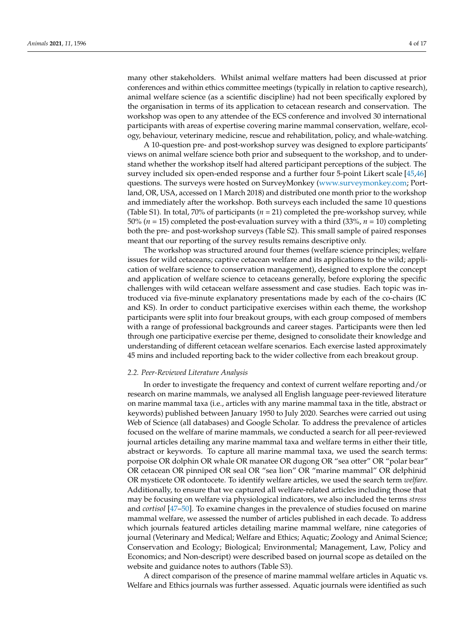many other stakeholders. Whilst animal welfare matters had been discussed at prior conferences and within ethics committee meetings (typically in relation to captive research), animal welfare science (as a scientific discipline) had not been specifically explored by the organisation in terms of its application to cetacean research and conservation. The workshop was open to any attendee of the ECS conference and involved 30 international participants with areas of expertise covering marine mammal conservation, welfare, ecology, behaviour, veterinary medicine, rescue and rehabilitation, policy, and whale-watching.

A 10-question pre- and post-workshop survey was designed to explore participants' views on animal welfare science both prior and subsequent to the workshop, and to understand whether the workshop itself had altered participant perceptions of the subject. The survey included six open-ended response and a further four 5-point Likert scale [\[45,](#page-14-19)[46\]](#page-14-20) questions. The surveys were hosted on SurveyMonkey [\(www.surveymonkey.com;](www.surveymonkey.com) Portland, OR, USA, accessed on 1 March 2018) and distributed one month prior to the workshop and immediately after the workshop. Both surveys each included the same 10 questions (Table S1). In total, 70% of participants  $(n = 21)$  completed the pre-workshop survey, while 50% (*n* = 15) completed the post-evaluation survey with a third (33%, *n* = 10) completing both the pre- and post-workshop surveys (Table S2). This small sample of paired responses meant that our reporting of the survey results remains descriptive only.

The workshop was structured around four themes (welfare science principles; welfare issues for wild cetaceans; captive cetacean welfare and its applications to the wild; application of welfare science to conservation management), designed to explore the concept and application of welfare science to cetaceans generally, before exploring the specific challenges with wild cetacean welfare assessment and case studies. Each topic was introduced via five-minute explanatory presentations made by each of the co-chairs (IC and KS). In order to conduct participative exercises within each theme, the workshop participants were split into four breakout groups, with each group composed of members with a range of professional backgrounds and career stages. Participants were then led through one participative exercise per theme, designed to consolidate their knowledge and understanding of different cetacean welfare scenarios. Each exercise lasted approximately 45 mins and included reporting back to the wider collective from each breakout group.

#### *2.2. Peer-Reviewed Literature Analysis*

In order to investigate the frequency and context of current welfare reporting and/or research on marine mammals, we analysed all English language peer-reviewed literature on marine mammal taxa (i.e., articles with any marine mammal taxa in the title, abstract or keywords) published between January 1950 to July 2020. Searches were carried out using Web of Science (all databases) and Google Scholar. To address the prevalence of articles focused on the welfare of marine mammals, we conducted a search for all peer-reviewed journal articles detailing any marine mammal taxa and welfare terms in either their title, abstract or keywords. To capture all marine mammal taxa, we used the search terms: porpoise OR dolphin OR whale OR manatee OR dugong OR "sea otter" OR "polar bear" OR cetacean OR pinniped OR seal OR "sea lion" OR "marine mammal" OR delphinid OR mysticete OR odontocete. To identify welfare articles, we used the search term *welfare*. Additionally, to ensure that we captured all welfare-related articles including those that may be focusing on welfare via physiological indicators, we also included the terms *stress* and *cortisol* [\[47](#page-14-21)[–50\]](#page-14-22). To examine changes in the prevalence of studies focused on marine mammal welfare, we assessed the number of articles published in each decade. To address which journals featured articles detailing marine mammal welfare, nine categories of journal (Veterinary and Medical; Welfare and Ethics; Aquatic; Zoology and Animal Science; Conservation and Ecology; Biological; Environmental; Management, Law, Policy and Economics; and Non-descript) were described based on journal scope as detailed on the website and guidance notes to authors (Table S3).

A direct comparison of the presence of marine mammal welfare articles in Aquatic vs. Welfare and Ethics journals was further assessed. Aquatic journals were identified as such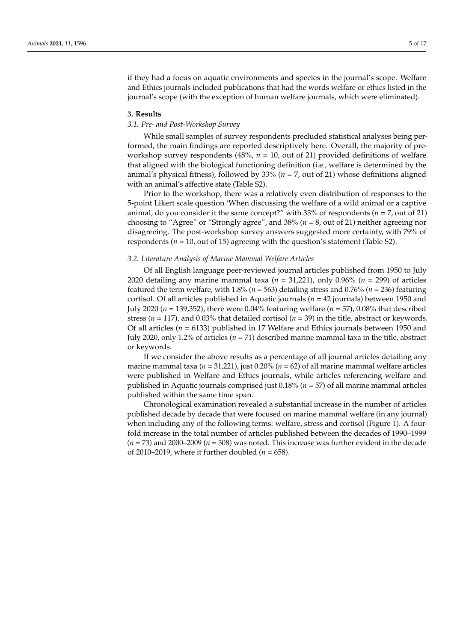if they had a focus on aquatic environments and species in the journal's scope. Welfare and Ethics journals included publications that had the words welfare or ethics listed in the journal's scope (with the exception of human welfare journals, which were eliminated).

#### **3. Results**

## *3.1. Pre- and Post-Workshop Survey*

While small samples of survey respondents precluded statistical analyses being performed, the main findings are reported descriptively here. Overall, the majority of preworkshop survey respondents (48%,  $n = 10$ , out of 21) provided definitions of welfare that aligned with the biological functioning definition (i.e., welfare is determined by the animal's physical fitness), followed by 33% (*n* = 7, out of 21) whose definitions aligned with an animal's affective state (Table S2).

Prior to the workshop, there was a relatively even distribution of responses to the 5-point Likert scale question 'When discussing the welfare of a wild animal or a captive animal, do you consider it the same concept?" with 33% of respondents (*n* = 7, out of 21) choosing to "Agree" or "Strongly agree", and 38% (*n* = 8, out of 21) neither agreeing nor disagreeing. The post-workshop survey answers suggested more certainty, with 79% of respondents ( $n = 10$ , out of 15) agreeing with the question's statement (Table S2).

### *3.2. Literature Analysis of Marine Mammal Welfare Articles*

Of all English language peer-reviewed journal articles published from 1950 to July 2020 detailing any marine mammal taxa (*n* = 31,221), only 0.96% (*n* = 299) of articles featured the term welfare, with  $1.8\%$  ( $n = 563$ ) detailing stress and 0.76% ( $n = 236$ ) featuring cortisol. Of all articles published in Aquatic journals (*n* = 42 journals) between 1950 and July 2020 (*n* = 139,352), there were 0.04% featuring welfare (*n* = 57), 0.08% that described stress (*n* = 117), and 0.03% that detailed cortisol (*n* = 39) in the title, abstract or keywords. Of all articles (*n* = 6133) published in 17 Welfare and Ethics journals between 1950 and July 2020, only 1.2% of articles (*n* = 71) described marine mammal taxa in the title, abstract or keywords.

If we consider the above results as a percentage of all journal articles detailing any marine mammal taxa ( $n = 31,221$ ), just 0.20% ( $n = 62$ ) of all marine mammal welfare articles were published in Welfare and Ethics journals, while articles referencing welfare and published in Aquatic journals comprised just 0.18% (*n* = 57) of all marine mammal articles published within the same time span.

Chronological examination revealed a substantial increase in the number of articles published decade by decade that were focused on marine mammal welfare (in any journal) when including any of the following terms: welfare, stress and cortisol (Figure [1\)](#page-5-0). A fourfold increase in the total number of articles published between the decades of 1990–1999 (*n* = 73) and 2000–2009 (*n* = 308) was noted. This increase was further evident in the decade of 2010–2019, where it further doubled  $(n = 658)$ .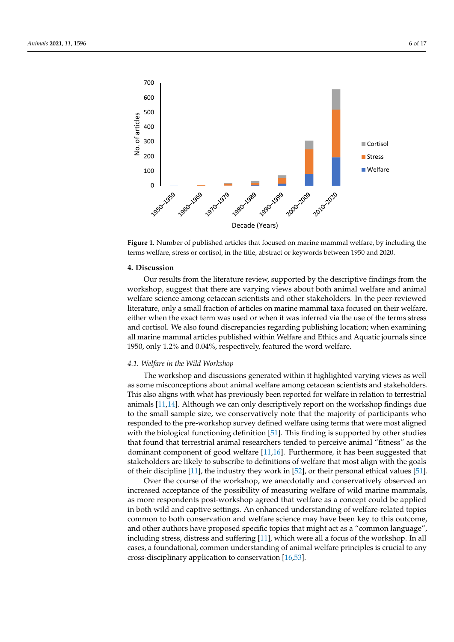<span id="page-5-0"></span>

forms welfare, stress or certical in the title, abstract or keywords between 1950 and 2020. terms welfare, stress or cortisol, in the title, abstract or keywords between 1950 and 2020. terms welfare, stress or cortisol, in the title, abstract or keywords between 1950 and 2020. **Figure 1.** Number of published articles that focused on marine mammal welfare, by including the

#### **4. Discussion**

Our results from the literature review, supported by the descriptive findings from the workshop, suggest that there are varying views about both animal welfare and animal welfare science among cetacean scientists and other stakeholders. In the peer-reviewed literature, only a small fraction of articles on marine mammal taxa focused on their welfare, either when the exact term was used or when it was inferred via the use of the terms stress and cortisol. We also found discrepancies regarding publishing location; when examining all marine mammal articles published within Welfare and Ethics and Aquatic journals since 1950, only 1.2% and 0.04%, respectively, featured the word welfare.

#### journals since 1950, only 1.2% and 0.04%, respectively, featured the word welfare. *4.1. Welfare in the Wild Workshop*

*4.1. Welfare in the Wild Workshop*  The workshop and discussions generated within it highlighted varying views as well as some misconceptions about animal welfare among cetacean scientists and stakeholders. This also aligns with what has previously been reported for welfare in relation to terrestrial animals [\[11](#page-13-7)[,14\]](#page-13-10). Although we can only descriptively report on the workshop findings due to the small sample size, we conservatively note that the majority of participants who responded to the pre-workshop survey defined welfare using terms that were most aligned with the biological functioning definition [\[51\]](#page-14-23). This finding is supported by other studies that found that terrestrial animal researchers tended to perceive animal "fitness" as the dominant component of good welfare [\[11,](#page-13-7)[16\]](#page-13-12). Furthermore, it has been suggested that stakeholders are likely to subscribe to definitions of welfare that most align with the goals<br> of their discipline [\[11\]](#page-13-7), the industry they work in [\[52\]](#page-15-0), or their personal ethical values [\[51\]](#page-14-23).

 $\sim$  the induces of the induces  $\sim$  the induces  $\sim$  the induces in  $\sim$  the induces  $\sim$  the induces  $\sim$  the induces  $\sim$  the induces  $\sim$  the induces  $\sim$  the induces  $\sim$  the induces  $\sim$  the induces  $\sim$  the induces increased acceptance of the possibility of measuring welfare of wild marine mammals,  $\overline{\mathcal{O}}$  the computation of the course of the course of the course of the course of the course of the conserved and conserved and conserved and conserved and conserved and conserved and conserved and conserved and cons in both wild and captive settings. An enhanced understanding of welfare-related topics<br>common to heth concernation and welfare seignes may have been level this suttome entified to be a conservation and welfare selectionally favor been they to this satisfied,<br>and other authors have proposed specific topics that might act as a "common language", including stress, distress and suffering [\[11\]](#page-13-7), which were all a focus of the workshop. In all monthly cases, a foundational, common understanding of animal welfare principles is crucial to any  $\frac{1}{2}$  or  $\frac{1}{2}$  and  $\frac{1}{2}$  are proposed specific to propose discribinary application to conservation  $\frac{1}{2}$  field  $\frac{1}{2}$ cross-disciplinary application to conservation [\[16](#page-13-12)[,53\]](#page-15-1). Over the course of the workshop, we anecdotally and conservatively observed an as more respondents post-workshop agreed that welfare as a concept could be applied common to both conservation and welfare science may have been key to this outcome,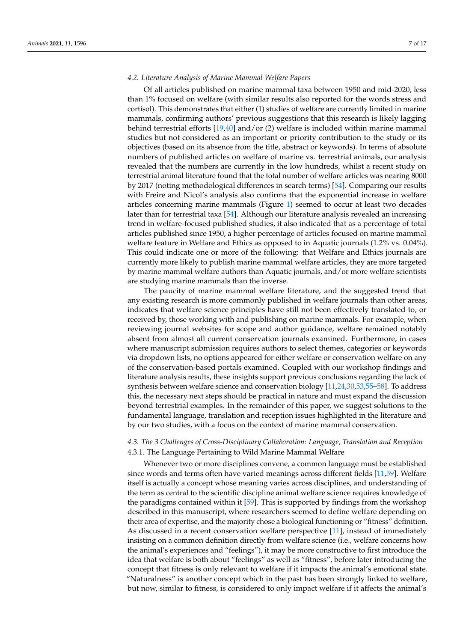## *4.2. Literature Analysis of Marine Mammal Welfare Papers*

Of all articles published on marine mammal taxa between 1950 and mid-2020, less than 1% focused on welfare (with similar results also reported for the words stress and cortisol). This demonstrates that either (1) studies of welfare are currently limited in marine mammals, confirming authors' previous suggestions that this research is likely lagging behind terrestrial efforts  $[19,40]$  $[19,40]$  and/or (2) welfare is included within marine mammal studies but not considered as an important or priority contribution to the study or its objectives (based on its absence from the title, abstract or keywords). In terms of absolute numbers of published articles on welfare of marine vs. terrestrial animals, our analysis revealed that the numbers are currently in the low hundreds, whilst a recent study on terrestrial animal literature found that the total number of welfare articles was nearing 8000 by 2017 (noting methodological differences in search terms) [\[54\]](#page-15-2). Comparing our results with Freire and Nicol's analysis also confirms that the exponential increase in welfare articles concerning marine mammals (Figure [1\)](#page-5-0) seemed to occur at least two decades later than for terrestrial taxa [\[54\]](#page-15-2). Although our literature analysis revealed an increasing trend in welfare-focused published studies, it also indicated that as a percentage of total articles published since 1950, a higher percentage of articles focused on marine mammal welfare feature in Welfare and Ethics as opposed to in Aquatic journals (1.2% vs. 0.04%). This could indicate one or more of the following: that Welfare and Ethics journals are currently more likely to publish marine mammal welfare articles, they are more targeted by marine mammal welfare authors than Aquatic journals, and/or more welfare scientists are studying marine mammals than the inverse.

The paucity of marine mammal welfare literature, and the suggested trend that any existing research is more commonly published in welfare journals than other areas, indicates that welfare science principles have still not been effectively translated to, or received by, those working with and publishing on marine mammals. For example, when reviewing journal websites for scope and author guidance, welfare remained notably absent from almost all current conservation journals examined. Furthermore, in cases where manuscript submission requires authors to select themes, categories or keywords via dropdown lists, no options appeared for either welfare or conservation welfare on any of the conservation-based portals examined. Coupled with our workshop findings and literature analysis results, these insights support previous conclusions regarding the lack of synthesis between welfare science and conservation biology [\[11](#page-13-7)[,24](#page-14-1)[,30](#page-14-7)[,53,](#page-15-1)[55–](#page-15-3)[58\]](#page-15-4). To address this, the necessary next steps should be practical in nature and must expand the discussion beyond terrestrial examples. In the remainder of this paper, we suggest solutions to the fundamental language, translation and reception issues highlighted in the literature and by our two studies, with a focus on the context of marine mammal conservation.

# *4.3. The 3 Challenges of Cross-Disciplinary Collaboration: Language, Translation and Reception* 4.3.1. The Language Pertaining to Wild Marine Mammal Welfare

Whenever two or more disciplines convene, a common language must be established since words and terms often have varied meanings across different fields [\[11](#page-13-7)[,59\]](#page-15-5). Welfare itself is actually a concept whose meaning varies across disciplines, and understanding of the term as central to the scientific discipline animal welfare science requires knowledge of the paradigms contained within it [\[59\]](#page-15-5). This is supported by findings from the workshop described in this manuscript, where researchers seemed to define welfare depending on their area of expertise, and the majority chose a biological functioning or "fitness" definition. As discussed in a recent conservation welfare perspective [\[11\]](#page-13-7), instead of immediately insisting on a common definition directly from welfare science (i.e., welfare concerns how the animal's experiences and "feelings"), it may be more constructive to first introduce the idea that welfare is both about "feelings" as well as "fitness", before later introducing the concept that fitness is only relevant to welfare if it impacts the animal's emotional state. "Naturalness" is another concept which in the past has been strongly linked to welfare, but now, similar to fitness, is considered to only impact welfare if it affects the animal's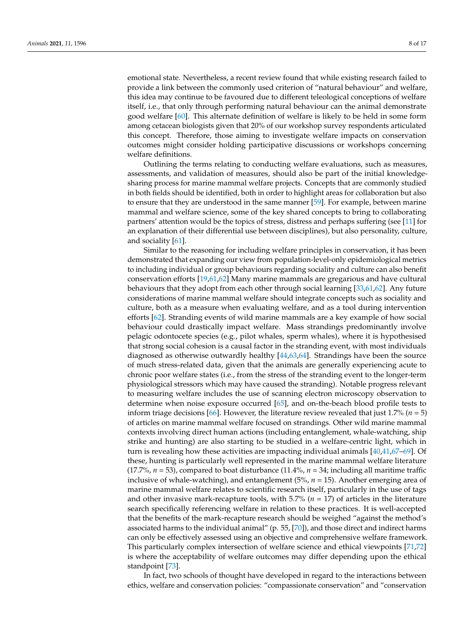emotional state. Nevertheless, a recent review found that while existing research failed to provide a link between the commonly used criterion of "natural behaviour" and welfare, this idea may continue to be favoured due to different teleological conceptions of welfare itself, i.e., that only through performing natural behaviour can the animal demonstrate good welfare [\[60\]](#page-15-6). This alternate definition of welfare is likely to be held in some form among cetacean biologists given that 20% of our workshop survey respondents articulated this concept. Therefore, those aiming to investigate welfare impacts on conservation outcomes might consider holding participative discussions or workshops concerning welfare definitions.

Outlining the terms relating to conducting welfare evaluations, such as measures, assessments, and validation of measures, should also be part of the initial knowledgesharing process for marine mammal welfare projects. Concepts that are commonly studied in both fields should be identified, both in order to highlight areas for collaboration but also to ensure that they are understood in the same manner [\[59\]](#page-15-5). For example, between marine mammal and welfare science, some of the key shared concepts to bring to collaborating partners' attention would be the topics of stress, distress and perhaps suffering (see [\[11\]](#page-13-7) for an explanation of their differential use between disciplines), but also personality, culture, and sociality [\[61\]](#page-15-7).

Similar to the reasoning for including welfare principles in conservation, it has been demonstrated that expanding our view from population-level-only epidemiological metrics to including individual or group behaviours regarding sociality and culture can also benefit conservation efforts [\[19,](#page-13-15)[61,](#page-15-7)[62\]](#page-15-8) Many marine mammals are gregarious and have cultural behaviours that they adopt from each other through social learning [\[33,](#page-14-9)[61,](#page-15-7)[62\]](#page-15-8). Any future considerations of marine mammal welfare should integrate concepts such as sociality and culture, both as a measure when evaluating welfare, and as a tool during intervention efforts [\[62\]](#page-15-8). Stranding events of wild marine mammals are a key example of how social behaviour could drastically impact welfare. Mass strandings predominantly involve pelagic odontocete species (e.g., pilot whales, sperm whales), where it is hypothesised that strong social cohesion is a causal factor in the stranding event, with most individuals diagnosed as otherwise outwardly healthy [\[44](#page-14-17)[,63](#page-15-9)[,64\]](#page-15-10). Strandings have been the source of much stress-related data, given that the animals are generally experiencing acute to chronic poor welfare states (i.e., from the stress of the stranding event to the longer-term physiological stressors which may have caused the stranding). Notable progress relevant to measuring welfare includes the use of scanning electron microscopy observation to determine when noise exposure occurred [\[65\]](#page-15-11), and on-the-beach blood profile tests to inform triage decisions [\[66\]](#page-15-12). However, the literature review revealed that just 1.7% (*n* = 5) of articles on marine mammal welfare focused on strandings. Other wild marine mammal contexts involving direct human actions (including entanglement, whale-watching, ship strike and hunting) are also starting to be studied in a welfare-centric light, which in turn is revealing how these activities are impacting individual animals [\[40](#page-14-13)[,41](#page-14-14)[,67–](#page-15-13)[69\]](#page-15-14). Of these, hunting is particularly well represented in the marine mammal welfare literature (17.7%,  $n = 53$ ), compared to boat disturbance (11.4%,  $n = 34$ ; including all maritime traffic inclusive of whale-watching), and entanglement  $(5\%, n = 15)$ . Another emerging area of marine mammal welfare relates to scientific research itself, particularly in the use of tags and other invasive mark-recapture tools, with  $5.7\%$  ( $n = 17$ ) of articles in the literature search specifically referencing welfare in relation to these practices. It is well-accepted that the benefits of the mark-recapture research should be weighed "against the method's associated harms to the individual animal" (p. 55, [\[70\]](#page-15-15)), and those direct and indirect harms can only be effectively assessed using an objective and comprehensive welfare framework. This particularly complex intersection of welfare science and ethical viewpoints [\[71](#page-15-16)[,72\]](#page-15-17) is where the acceptability of welfare outcomes may differ depending upon the ethical standpoint [\[73\]](#page-15-18).

In fact, two schools of thought have developed in regard to the interactions between ethics, welfare and conservation policies: "compassionate conservation" and "conservation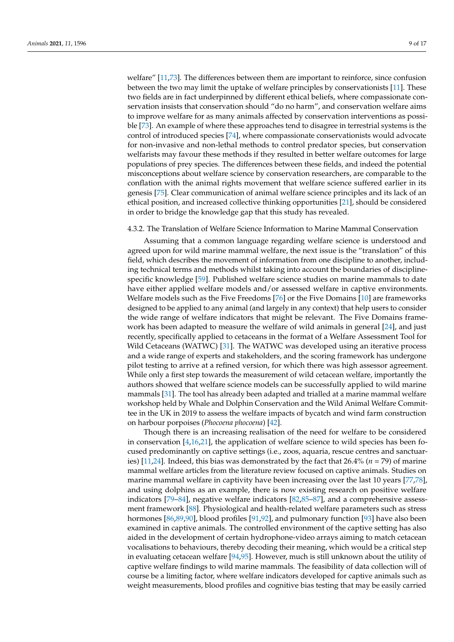welfare" [\[11,](#page-13-7)[73\]](#page-15-18). The differences between them are important to reinforce, since confusion between the two may limit the uptake of welfare principles by conservationists [\[11\]](#page-13-7). These two fields are in fact underpinned by different ethical beliefs, where compassionate conservation insists that conservation should "do no harm", and conservation welfare aims to improve welfare for as many animals affected by conservation interventions as possible [\[73\]](#page-15-18). An example of where these approaches tend to disagree in terrestrial systems is the control of introduced species [\[74\]](#page-15-19), where compassionate conservationists would advocate for non-invasive and non-lethal methods to control predator species, but conservation welfarists may favour these methods if they resulted in better welfare outcomes for large populations of prey species. The differences between these fields, and indeed the potential misconceptions about welfare science by conservation researchers, are comparable to the conflation with the animal rights movement that welfare science suffered earlier in its genesis [\[75\]](#page-15-20). Clear communication of animal welfare science principles and its lack of an ethical position, and increased collective thinking opportunities [\[21\]](#page-13-17), should be considered in order to bridge the knowledge gap that this study has revealed.

# 4.3.2. The Translation of Welfare Science Information to Marine Mammal Conservation

Assuming that a common language regarding welfare science is understood and agreed upon for wild marine mammal welfare, the next issue is the "translation" of this field, which describes the movement of information from one discipline to another, including technical terms and methods whilst taking into account the boundaries of disciplinespecific knowledge [\[59\]](#page-15-5). Published welfare science studies on marine mammals to date have either applied welfare models and/or assessed welfare in captive environments. Welfare models such as the Five Freedoms [\[76\]](#page-15-21) or the Five Domains [\[10\]](#page-13-6) are frameworks designed to be applied to any animal (and largely in any context) that help users to consider the wide range of welfare indicators that might be relevant. The Five Domains framework has been adapted to measure the welfare of wild animals in general [\[24\]](#page-14-1), and just recently, specifically applied to cetaceans in the format of a Welfare Assessment Tool for Wild Cetaceans (WATWC) [\[31\]](#page-14-18). The WATWC was developed using an iterative process and a wide range of experts and stakeholders, and the scoring framework has undergone pilot testing to arrive at a refined version, for which there was high assessor agreement. While only a first step towards the measurement of wild cetacean welfare, importantly the authors showed that welfare science models can be successfully applied to wild marine mammals [\[31\]](#page-14-18). The tool has already been adapted and trialled at a marine mammal welfare workshop held by Whale and Dolphin Conservation and the Wild Animal Welfare Committee in the UK in 2019 to assess the welfare impacts of bycatch and wind farm construction on harbour porpoises (*Phocoena phocoena*) [\[42\]](#page-14-15).

Though there is an increasing realisation of the need for welfare to be considered in conservation  $[4,16,21]$  $[4,16,21]$  $[4,16,21]$ , the application of welfare science to wild species has been focused predominantly on captive settings (i.e., zoos, aquaria, rescue centres and sanctuaries) [\[11,](#page-13-7)[24\]](#page-14-1). Indeed, this bias was demonstrated by the fact that 26.4% (*n* = 79) of marine mammal welfare articles from the literature review focused on captive animals. Studies on marine mammal welfare in captivity have been increasing over the last 10 years [\[77,](#page-15-22)[78\]](#page-15-23), and using dolphins as an example, there is now existing research on positive welfare indicators [\[79–](#page-15-24)[84\]](#page-16-0), negative welfare indicators [\[82](#page-15-25)[,85–](#page-16-1)[87\]](#page-16-2), and a comprehensive assessment framework [\[88\]](#page-16-3). Physiological and health-related welfare parameters such as stress hormones [\[86](#page-16-4)[,89](#page-16-5)[,90\]](#page-16-6), blood profiles [\[91,](#page-16-7)[92\]](#page-16-8), and pulmonary function [\[93\]](#page-16-9) have also been examined in captive animals. The controlled environment of the captive setting has also aided in the development of certain hydrophone-video arrays aiming to match cetacean vocalisations to behaviours, thereby decoding their meaning, which would be a critical step in evaluating cetacean welfare [\[94,](#page-16-10)[95\]](#page-16-11). However, much is still unknown about the utility of captive welfare findings to wild marine mammals. The feasibility of data collection will of course be a limiting factor, where welfare indicators developed for captive animals such as weight measurements, blood profiles and cognitive bias testing that may be easily carried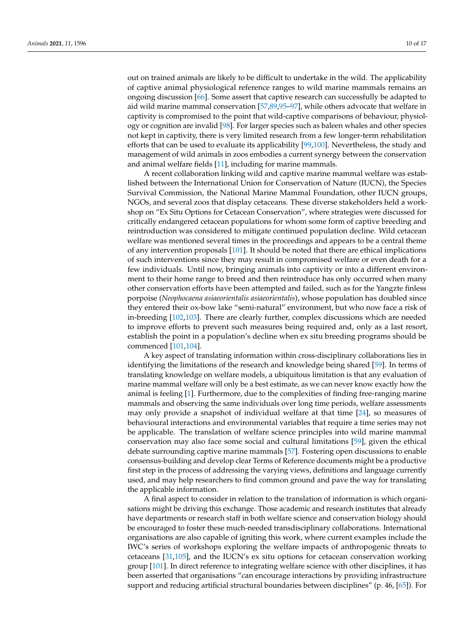out on trained animals are likely to be difficult to undertake in the wild. The applicability of captive animal physiological reference ranges to wild marine mammals remains an ongoing discussion [\[66\]](#page-15-12). Some assert that captive research can successfully be adapted to aid wild marine mammal conservation [\[57,](#page-15-26)[89,](#page-16-5)[95–](#page-16-11)[97\]](#page-16-12), while others advocate that welfare in captivity is compromised to the point that wild-captive comparisons of behaviour, physiology or cognition are invalid [\[98\]](#page-16-13). For larger species such as baleen whales and other species not kept in captivity, there is very limited research from a few longer-term rehabilitation efforts that can be used to evaluate its applicability [\[99,](#page-16-14)[100\]](#page-16-15). Nevertheless, the study and management of wild animals in zoos embodies a current synergy between the conservation and animal welfare fields [\[11\]](#page-13-7), including for marine mammals.

A recent collaboration linking wild and captive marine mammal welfare was established between the International Union for Conservation of Nature (IUCN), the Species Survival Commission, the National Marine Mammal Foundation, other IUCN groups, NGOs, and several zoos that display cetaceans. These diverse stakeholders held a workshop on "Ex Situ Options for Cetacean Conservation", where strategies were discussed for critically endangered cetacean populations for whom some form of captive breeding and reintroduction was considered to mitigate continued population decline. Wild cetacean welfare was mentioned several times in the proceedings and appears to be a central theme of any intervention proposals [\[101\]](#page-16-16). It should be noted that there are ethical implications of such interventions since they may result in compromised welfare or even death for a few individuals. Until now, bringing animals into captivity or into a different environment to their home range to breed and then reintroduce has only occurred when many other conservation efforts have been attempted and failed, such as for the Yangzte finless porpoise (*Neophocaena asiaeorientalis asiaeorientalis*), whose population has doubled since they entered their ox-bow lake "semi-natural" environment, but who now face a risk of in-breeding [\[102,](#page-16-17)[103\]](#page-16-18). There are clearly further, complex discussions which are needed to improve efforts to prevent such measures being required and, only as a last resort, establish the point in a population's decline when ex situ breeding programs should be commenced [\[101](#page-16-16)[,104\]](#page-16-19).

A key aspect of translating information within cross-disciplinary collaborations lies in identifying the limitations of the research and knowledge being shared [\[59\]](#page-15-5). In terms of translating knowledge on welfare models, a ubiquitous limitation is that any evaluation of marine mammal welfare will only be a best estimate, as we can never know exactly how the animal is feeling [\[1\]](#page-13-0). Furthermore, due to the complexities of finding free-ranging marine mammals and observing the same individuals over long time periods, welfare assessments may only provide a snapshot of individual welfare at that time [\[24\]](#page-14-1), so measures of behavioural interactions and environmental variables that require a time series may not be applicable. The translation of welfare science principles into wild marine mammal conservation may also face some social and cultural limitations [\[59\]](#page-15-5), given the ethical debate surrounding captive marine mammals [\[57\]](#page-15-26). Fostering open discussions to enable consensus-building and develop clear Terms of Reference documents might be a productive first step in the process of addressing the varying views, definitions and language currently used, and may help researchers to find common ground and pave the way for translating the applicable information.

A final aspect to consider in relation to the translation of information is which organisations might be driving this exchange. Those academic and research institutes that already have departments or research staff in both welfare science and conservation biology should be encouraged to foster these much-needed transdisciplinary collaborations. International organisations are also capable of igniting this work, where current examples include the IWC's series of workshops exploring the welfare impacts of anthropogenic threats to cetaceans [\[31,](#page-14-18)[105\]](#page-16-20), and the IUCN's ex situ options for cetacean conservation working group [\[101\]](#page-16-16). In direct reference to integrating welfare science with other disciplines, it has been asserted that organisations "can encourage interactions by providing infrastructure support and reducing artificial structural boundaries between disciplines" (p. 46, [\[65\]](#page-15-11)). For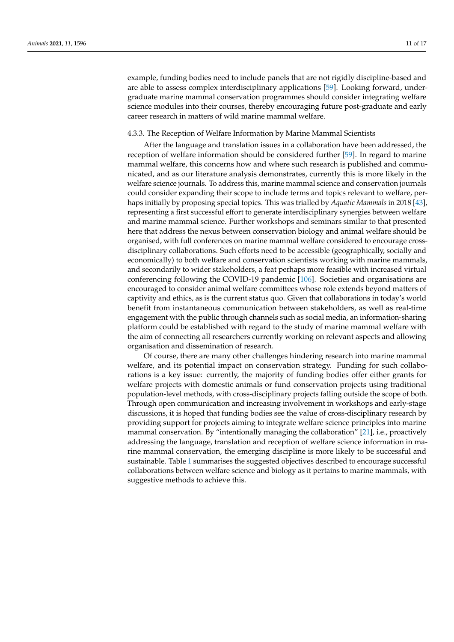example, funding bodies need to include panels that are not rigidly discipline-based and are able to assess complex interdisciplinary applications [\[59\]](#page-15-5). Looking forward, undergraduate marine mammal conservation programmes should consider integrating welfare science modules into their courses, thereby encouraging future post-graduate and early career research in matters of wild marine mammal welfare.

# 4.3.3. The Reception of Welfare Information by Marine Mammal Scientists

After the language and translation issues in a collaboration have been addressed, the reception of welfare information should be considered further [\[59\]](#page-15-5). In regard to marine mammal welfare, this concerns how and where such research is published and communicated, and as our literature analysis demonstrates, currently this is more likely in the welfare science journals. To address this, marine mammal science and conservation journals could consider expanding their scope to include terms and topics relevant to welfare, perhaps initially by proposing special topics. This was trialled by *Aquatic Mammals* in 2018 [\[43\]](#page-14-16), representing a first successful effort to generate interdisciplinary synergies between welfare and marine mammal science. Further workshops and seminars similar to that presented here that address the nexus between conservation biology and animal welfare should be organised, with full conferences on marine mammal welfare considered to encourage crossdisciplinary collaborations. Such efforts need to be accessible (geographically, socially and economically) to both welfare and conservation scientists working with marine mammals, and secondarily to wider stakeholders, a feat perhaps more feasible with increased virtual conferencing following the COVID-19 pandemic [\[106\]](#page-16-21). Societies and organisations are encouraged to consider animal welfare committees whose role extends beyond matters of captivity and ethics, as is the current status quo. Given that collaborations in today's world benefit from instantaneous communication between stakeholders, as well as real-time engagement with the public through channels such as social media, an information-sharing platform could be established with regard to the study of marine mammal welfare with the aim of connecting all researchers currently working on relevant aspects and allowing organisation and dissemination of research.

Of course, there are many other challenges hindering research into marine mammal welfare, and its potential impact on conservation strategy. Funding for such collaborations is a key issue: currently, the majority of funding bodies offer either grants for welfare projects with domestic animals or fund conservation projects using traditional population-level methods, with cross-disciplinary projects falling outside the scope of both. Through open communication and increasing involvement in workshops and early-stage discussions, it is hoped that funding bodies see the value of cross-disciplinary research by providing support for projects aiming to integrate welfare science principles into marine mammal conservation. By "intentionally managing the collaboration" [\[21\]](#page-13-17), i.e., proactively addressing the language, translation and reception of welfare science information in marine mammal conservation, the emerging discipline is more likely to be successful and sustainable. Table [1](#page-12-0) summarises the suggested objectives described to encourage successful collaborations between welfare science and biology as it pertains to marine mammals, with suggestive methods to achieve this.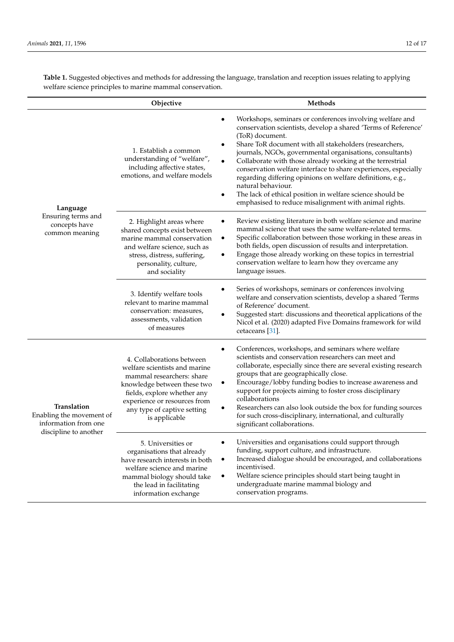|                                                                                          | Objective                                                                                                                                                                                                                             | Methods                                                                                                                                                                                                                                                                                                                                                                                                                                                                                                                                                                                                                                                           |
|------------------------------------------------------------------------------------------|---------------------------------------------------------------------------------------------------------------------------------------------------------------------------------------------------------------------------------------|-------------------------------------------------------------------------------------------------------------------------------------------------------------------------------------------------------------------------------------------------------------------------------------------------------------------------------------------------------------------------------------------------------------------------------------------------------------------------------------------------------------------------------------------------------------------------------------------------------------------------------------------------------------------|
| Language<br>Ensuring terms and<br>concepts have<br>common meaning                        | 1. Establish a common<br>understanding of "welfare",<br>including affective states,<br>emotions, and welfare models                                                                                                                   | Workshops, seminars or conferences involving welfare and<br>$\bullet$<br>conservation scientists, develop a shared 'Terms of Reference'<br>(ToR) document.<br>Share ToR document with all stakeholders (researchers,<br>$\bullet$<br>journals, NGOs, governmental organisations, consultants)<br>Collaborate with those already working at the terrestrial<br>$\bullet$<br>conservation welfare interface to share experiences, especially<br>regarding differing opinions on welfare definitions, e.g.,<br>natural behaviour.<br>The lack of ethical position in welfare science should be<br>$\bullet$<br>emphasised to reduce misalignment with animal rights. |
|                                                                                          | 2. Highlight areas where<br>shared concepts exist between<br>marine mammal conservation<br>and welfare science, such as<br>stress, distress, suffering,<br>personality, culture,<br>and sociality                                     | Review existing literature in both welfare science and marine<br>٠<br>mammal science that uses the same welfare-related terms.<br>Specific collaboration between those working in these areas in<br>٠<br>both fields, open discussion of results and interpretation.<br>Engage those already working on these topics in terrestrial<br>$\bullet$<br>conservation welfare to learn how they overcame any<br>language issues.                                                                                                                                                                                                                                       |
|                                                                                          | 3. Identify welfare tools<br>relevant to marine mammal<br>conservation: measures,<br>assessments, validation<br>of measures                                                                                                           | Series of workshops, seminars or conferences involving<br>welfare and conservation scientists, develop a shared 'Terms<br>of Reference' document.<br>Suggested start: discussions and theoretical applications of the<br>Nicol et al. (2020) adapted Five Domains framework for wild<br>cetaceans [31].                                                                                                                                                                                                                                                                                                                                                           |
| Translation<br>Enabling the movement of<br>information from one<br>discipline to another | 4. Collaborations between<br>welfare scientists and marine<br>mammal researchers: share<br>knowledge between these two<br>fields, explore whether any<br>experience or resources from<br>any type of captive setting<br>is applicable | Conferences, workshops, and seminars where welfare<br>٠<br>scientists and conservation researchers can meet and<br>collaborate, especially since there are several existing research<br>groups that are geographically close.<br>Encourage/lobby funding bodies to increase awareness and<br>٠<br>support for projects aiming to foster cross disciplinary<br>collaborations<br>Researchers can also look outside the box for funding sources<br>for such cross-disciplinary, international, and culturally<br>significant collaborations.                                                                                                                        |
|                                                                                          | 5. Universities or<br>organisations that already<br>have research interests in both<br>welfare science and marine<br>mammal biology should take<br>the lead in facilitating<br>information exchange                                   | Universities and organisations could support through<br>$\bullet$<br>funding, support culture, and infrastructure.<br>Increased dialogue should be encouraged, and collaborations<br>٠<br>incentivised.<br>Welfare science principles should start being taught in<br>$\bullet$<br>undergraduate marine mammal biology and<br>conservation programs.                                                                                                                                                                                                                                                                                                              |

**Table 1.** Suggested objectives and methods for addressing the language, translation and reception issues relating to applying welfare science principles to marine mammal conservation.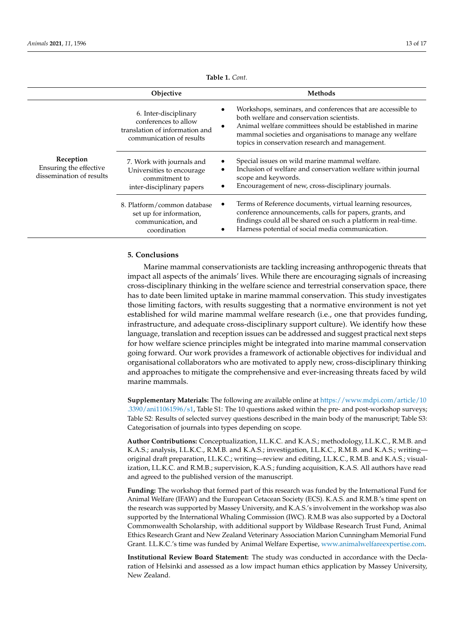<span id="page-12-0"></span>

|                                                                 | Objective                                                                                                   | <b>Methods</b>                                                                                                                                                                                                                                                                            |
|-----------------------------------------------------------------|-------------------------------------------------------------------------------------------------------------|-------------------------------------------------------------------------------------------------------------------------------------------------------------------------------------------------------------------------------------------------------------------------------------------|
| Reception<br>Ensuring the effective<br>dissemination of results | 6. Inter-disciplinary<br>conferences to allow<br>translation of information and<br>communication of results | Workshops, seminars, and conferences that are accessible to<br>both welfare and conservation scientists.<br>Animal welfare committees should be established in marine<br>٠<br>mammal societies and organisations to manage any welfare<br>topics in conservation research and management. |
|                                                                 | 7. Work with journals and<br>Universities to encourage<br>commitment to<br>inter-disciplinary papers        | Special issues on wild marine mammal welfare.<br>Inclusion of welfare and conservation welfare within journal<br>٠<br>scope and keywords.<br>Encouragement of new, cross-disciplinary journals.<br>٠                                                                                      |
|                                                                 | 8. Platform/common database<br>set up for information,<br>communication, and<br>coordination                | Terms of Reference documents, virtual learning resources,<br>٠<br>conference announcements, calls for papers, grants, and<br>findings could all be shared on such a platform in real-time.<br>Harness potential of social media communication.                                            |

**Table 1.** *Cont.*

# **5. Conclusions**

Marine mammal conservationists are tackling increasing anthropogenic threats that impact all aspects of the animals' lives. While there are encouraging signals of increasing cross-disciplinary thinking in the welfare science and terrestrial conservation space, there has to date been limited uptake in marine mammal conservation. This study investigates those limiting factors, with results suggesting that a normative environment is not yet established for wild marine mammal welfare research (i.e., one that provides funding, infrastructure, and adequate cross-disciplinary support culture). We identify how these language, translation and reception issues can be addressed and suggest practical next steps for how welfare science principles might be integrated into marine mammal conservation going forward. Our work provides a framework of actionable objectives for individual and organisational collaborators who are motivated to apply new, cross-disciplinary thinking and approaches to mitigate the comprehensive and ever-increasing threats faced by wild marine mammals.

**Supplementary Materials:** The following are available online at [https://www.mdpi.com/article/10](https://www.mdpi.com/article/10.3390/ani11061596/s1) [.3390/ani11061596/s1,](https://www.mdpi.com/article/10.3390/ani11061596/s1) Table S1: The 10 questions asked within the pre- and post-workshop surveys; Table S2: Results of selected survey questions described in the main body of the manuscript; Table S3: Categorisation of journals into types depending on scope.

**Author Contributions:** Conceptualization, I.L.K.C. and K.A.S.; methodology, I.L.K.C., R.M.B. and K.A.S.; analysis, I.L.K.C., R.M.B. and K.A.S.; investigation, I.L.K.C., R.M.B. and K.A.S.; writing original draft preparation, I.L.K.C.; writing—review and editing, I.L.K.C., R.M.B. and K.A.S.; visualization, I.L.K.C. and R.M.B.; supervision, K.A.S.; funding acquisition, K.A.S. All authors have read and agreed to the published version of the manuscript.

**Funding:** The workshop that formed part of this research was funded by the International Fund for Animal Welfare (IFAW) and the European Cetacean Society (ECS). K.A.S. and R.M.B.'s time spent on the research was supported by Massey University, and K.A.S.'s involvement in the workshop was also supported by the International Whaling Commission (IWC). R.M.B was also supported by a Doctoral Commonwealth Scholarship, with additional support by Wildbase Research Trust Fund, Animal Ethics Research Grant and New Zealand Veterinary Association Marion Cunningham Memorial Fund Grant. I.L.K.C.'s time was funded by Animal Welfare Expertise, [www.animalwelfareexpertise.com.](www.animalwelfareexpertise.com)

**Institutional Review Board Statement:** The study was conducted in accordance with the Declaration of Helsinki and assessed as a low impact human ethics application by Massey University, New Zealand.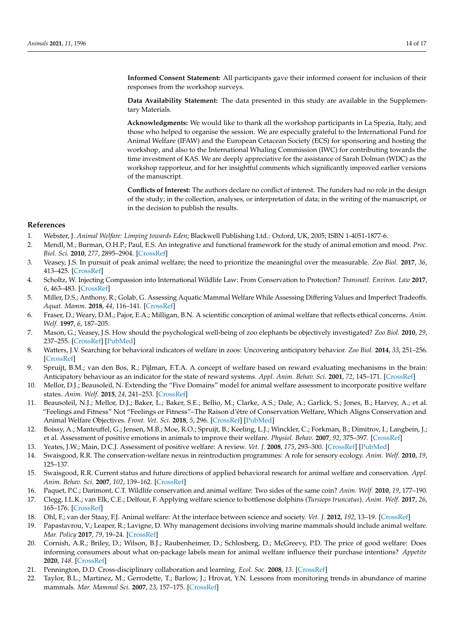**Informed Consent Statement:** All participants gave their informed consent for inclusion of their responses from the workshop surveys.

**Data Availability Statement:** The data presented in this study are available in the Supplementary Materials.

**Acknowledgments:** We would like to thank all the workshop participants in La Spezia, Italy, and those who helped to organise the session. We are especially grateful to the International Fund for Animal Welfare (IFAW) and the European Cetacean Society (ECS) for sponsoring and hosting the workshop, and also to the International Whaling Commission (IWC) for contributing towards the time investment of KAS. We are deeply appreciative for the assistance of Sarah Dolman (WDC) as the workshop rapporteur, and for her insightful comments which significantly improved earlier versions of the manuscript.

**Conflicts of Interest:** The authors declare no conflict of interest. The funders had no role in the design of the study; in the collection, analyses, or interpretation of data; in the writing of the manuscript, or in the decision to publish the results.

## **References**

- <span id="page-13-0"></span>1. Webster, J. *Animal Welfare: Limping towards Eden*; Blackwell Publishing Ltd.: Oxford, UK, 2005; ISBN 1-4051-1877-6.
- 2. Mendl, M.; Burman, O.H.P.; Paul, E.S. An integrative and functional framework for the study of animal emotion and mood. *Proc. Biol. Sci.* **2010**, *277*, 2895–2904. [\[CrossRef\]](http://doi.org/10.1098/rspb.2010.0303)
- <span id="page-13-1"></span>3. Veasey, J.S. In pursuit of peak animal welfare; the need to prioritize the meaningful over the measurable. *Zoo Biol.* **2017**, *36*, 413–425. [\[CrossRef\]](http://doi.org/10.1002/zoo.21390)
- <span id="page-13-2"></span>4. Scholtz, W. Injecting Compassion into International Wildlife Law: From Conservation to Protection? *Transnatl. Environ. Law* **2017**, *6*, 463–483. [\[CrossRef\]](http://doi.org/10.1017/S2047102517000103)
- <span id="page-13-3"></span>5. Miller, D.S.; Anthony, R.; Golab, G. Assessing Aquatic Mammal Welfare While Assessing Differing Values and Imperfect Tradeoffs. *Aquat. Mamm.* **2018**, *44*, 116–141. [\[CrossRef\]](http://doi.org/10.1578/AM.44.2.2018.116)
- <span id="page-13-4"></span>6. Fraser, D.; Weary, D.M.; Pajor, E.A.; Milligan, B.N. A scientific conception of animal welfare that reflects ethical concerns. *Anim. Welf.* **1997**, *6*, 187–205.
- <span id="page-13-5"></span>7. Mason, G.; Veasey, J.S. How should the psychological well-being of zoo elephants be objectively investigated? *Zoo Biol.* **2010**, *29*, 237–255. [\[CrossRef\]](http://doi.org/10.1002/zoo.20256) [\[PubMed\]](http://www.ncbi.nlm.nih.gov/pubmed/19514018)
- 8. Watters, J.V. Searching for behavioral indicators of welfare in zoos: Uncovering anticipatory behavior. *Zoo Biol.* **2014**, *33*, 251–256. [\[CrossRef\]](http://doi.org/10.1002/zoo.21144)
- 9. Spruijt, B.M.; van den Bos, R.; Pijlman, F.T.A. A concept of welfare based on reward evaluating mechanisms in the brain: Anticipatory behaviour as an indicator for the state of reward systems. *Appl. Anim. Behav. Sci.* **2001**, *72*, 145–171. [\[CrossRef\]](http://doi.org/10.1016/S0168-1591(00)00204-5)
- <span id="page-13-6"></span>10. Mellor, D.J.; Beausoleil, N. Extending the "Five Domains" model for animal welfare assessment to incorporate positive welfare states. *Anim. Welf.* **2015**, *24*, 241–253. [\[CrossRef\]](http://doi.org/10.7120/09627286.24.3.241)
- <span id="page-13-7"></span>11. Beausoleil, N.J.; Mellor, D.J.; Baker, L.; Baker, S.E.; Bellio, M.; Clarke, A.S.; Dale, A.; Garlick, S.; Jones, B.; Harvey, A.; et al. "Feelings and Fitness" Not "Feelings or Fitness"–The Raison d'être of Conservation Welfare, Which Aligns Conservation and Animal Welfare Objectives. *Front. Vet. Sci.* **2018**, *5*, 296. [\[CrossRef\]](http://doi.org/10.3389/fvets.2018.00296) [\[PubMed\]](http://www.ncbi.nlm.nih.gov/pubmed/30538995)
- <span id="page-13-8"></span>12. Boissy, A.; Manteuffel, G.; Jensen, M.B.; Moe, R.O.; Spruijt, B.; Keeling, L.J.; Winckler, C.; Forkman, B.; Dimitrov, I.; Langbein, J.; et al. Assessment of positive emotions in animals to improve their welfare. *Physiol. Behav.* **2007**, *92*, 375–397. [\[CrossRef\]](http://doi.org/10.1016/j.physbeh.2007.02.003)
- <span id="page-13-9"></span>13. Yeates, J.W.; Main, D.C.J. Assessment of positive welfare: A review. *Vet. J.* **2008**, *175*, 293–300. [\[CrossRef\]](http://doi.org/10.1016/j.tvjl.2007.05.009) [\[PubMed\]](http://www.ncbi.nlm.nih.gov/pubmed/17613265)
- <span id="page-13-10"></span>14. Swaisgood, R.R. The conservation-welfare nexus in reintroduction programmes: A role for sensory ecology. *Anim. Welf.* **2010**, *19*, 125–137.
- <span id="page-13-11"></span>15. Swaisgood, R.R. Current status and future directions of applied behavioral research for animal welfare and conservation. *Appl. Anim. Behav. Sci.* **2007**, *102*, 139–162. [\[CrossRef\]](http://doi.org/10.1016/j.applanim.2006.05.027)
- <span id="page-13-12"></span>16. Paquet, P.C.; Darimont, C.T. Wildlife conservation and animal welfare: Two sides of the same coin? *Anim. Welf.* **2010**, *19*, 177–190.
- <span id="page-13-13"></span>17. Clegg, I.L.K.; van Elk, C.E.; Delfour, F. Applying welfare science to bottlenose dolphins (*Tursiops truncatus*). *Anim. Welf.* **2017**, *26*, 165–176. [\[CrossRef\]](http://doi.org/10.7120/09627286.26.2.165)
- <span id="page-13-14"></span>18. Ohl, F.; van der Staay, F.J. Animal welfare: At the interface between science and society. *Vet. J.* **2012**, *192*, 13–19. [\[CrossRef\]](http://doi.org/10.1016/j.tvjl.2011.05.019)
- <span id="page-13-15"></span>19. Papastavrou, V.; Leaper, R.; Lavigne, D. Why management decisions involving marine mammals should include animal welfare. *Mar. Policy* **2017**, *79*, 19–24. [\[CrossRef\]](http://doi.org/10.1016/j.marpol.2017.02.001)
- <span id="page-13-16"></span>20. Cornish, A.R.; Briley, D.; Wilson, B.J.; Raubenheimer, D.; Schlosberg, D.; McGreevy, P.D. The price of good welfare: Does informing consumers about what on-package labels mean for animal welfare influence their purchase intentions? *Appetite* **2020**, *148*. [\[CrossRef\]](http://doi.org/10.1016/j.appet.2019.104577)
- <span id="page-13-17"></span>21. Pennington, D.D. Cross-disciplinary collaboration and learning. *Ecol. Soc.* **2008**, *13*. [\[CrossRef\]](http://doi.org/10.5751/ES-02520-130208)
- <span id="page-13-18"></span>22. Taylor, B.L.; Martinez, M.; Gerrodette, T.; Barlow, J.; Hrovat, Y.N. Lessons from monitoring trends in abundance of marine mammals. *Mar. Mammal Sci.* **2007**, *23*, 157–175. [\[CrossRef\]](http://doi.org/10.1111/j.1748-7692.2006.00092.x)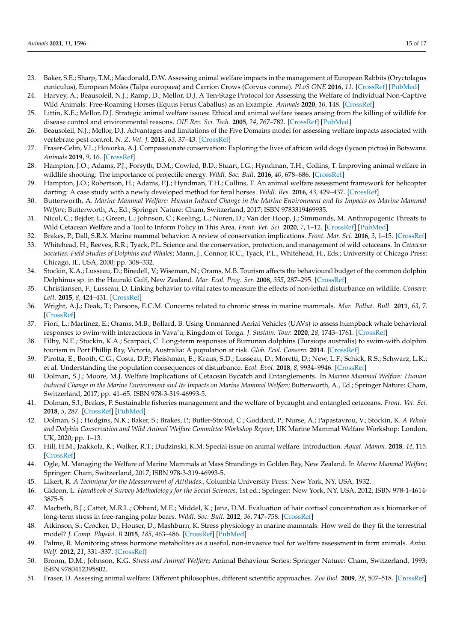- <span id="page-14-0"></span>23. Baker, S.E.; Sharp, T.M.; Macdonald, D.W. Assessing animal welfare impacts in the management of European Rabbits (Oryctolagus cuniculus), European Moles (Talpa europaea) and Carrion Crows (Corvus corone). *PLoS ONE* **2016**, *11*. [\[CrossRef\]](http://doi.org/10.1371/journal.pone.0146298) [\[PubMed\]](http://www.ncbi.nlm.nih.gov/pubmed/26726808)
- <span id="page-14-1"></span>24. Harvey, A.; Beausoleil, N.J.; Ramp, D.; Mellor, D.J. A Ten-Stage Protocol for Assessing the Welfare of Individual Non-Captive Wild Animals: Free-Roaming Horses (Equus Ferus Caballus) as an Example. *Animals* **2020**, *10*, 148. [\[CrossRef\]](http://doi.org/10.3390/ani10010148)
- <span id="page-14-2"></span>25. Littin, K.E.; Mellor, D.J. Strategic animal welfare issues: Ethical and animal welfare issues arising from the killing of wildlife for disease control and environmental reasons. *OIE Rev. Sci. Tech.* **2005**, *24*, 767–782. [\[CrossRef\]](http://doi.org/10.20506/rst.24.2.1611) [\[PubMed\]](http://www.ncbi.nlm.nih.gov/pubmed/16358526)
- <span id="page-14-3"></span>26. Beausoleil, N.J.; Mellor, D.J. Advantages and limitations of the Five Domains model for assessing welfare impacts associated with vertebrate pest control. *N. Z. Vet. J.* **2015**, *63*, 37–43. [\[CrossRef\]](http://doi.org/10.1080/00480169.2014.956832)
- <span id="page-14-4"></span>27. Fraser-Celin, V.L.; Hovorka, A.J. Compassionate conservation: Exploring the lives of african wild dogs (lycaon pictus) in Botswana. *Animals* **2019**, *9*, 16. [\[CrossRef\]](http://doi.org/10.3390/ani9010016)
- <span id="page-14-5"></span>28. Hampton, J.O.; Adams, P.J.; Forsyth, D.M.; Cowled, B.D.; Stuart, I.G.; Hyndman, T.H.; Collins, T. Improving animal welfare in wildlife shooting: The importance of projectile energy. *Wildl. Soc. Bull.* **2016**, *40*, 678–686. [\[CrossRef\]](http://doi.org/10.1002/wsb.705)
- <span id="page-14-6"></span>29. Hampton, J.O.; Robertson, H.; Adams, P.J.; Hyndman, T.H.; Collins, T. An animal welfare assessment framework for helicopter darting: A case study with a newly developed method for feral horses. *Wildl. Res.* **2016**, *43*, 429–437. [\[CrossRef\]](http://doi.org/10.1071/WR15230)
- <span id="page-14-7"></span>30. Butterworth, A. *Marine Mammal Welfare: Human Induced Change in the Marine Environment and Its Impacts on Marine Mammal Welfare*; Butterworth, A., Ed.; Springer Nature: Cham, Switzerland, 2017; ISBN 9783319469935.
- <span id="page-14-18"></span>31. Nicol, C.; Bejder, L.; Green, L.; Johnson, C.; Keeling, L.; Noren, D.; Van der Hoop, J.; Simmonds, M. Anthropogenic Threats to Wild Cetacean Welfare and a Tool to Inform Policy in This Area. *Front. Vet. Sci.* **2020**, *7*, 1–12. [\[CrossRef\]](http://doi.org/10.3389/fvets.2020.00057) [\[PubMed\]](http://www.ncbi.nlm.nih.gov/pubmed/32185183)
- <span id="page-14-8"></span>32. Brakes, P.; Dall, S.R.X. Marine mammal behavior: A review of conservation implications. *Front. Mar. Sci.* **2016**, *3*, 1–15. [\[CrossRef\]](http://doi.org/10.3389/fmars.2016.00087)
- <span id="page-14-9"></span>33. Whitehead, H.; Reeves, R.R.; Tyack, P.L. Science and the conservation, protection, and management of wild cetaceans. In *Cetacean Societies: Field Studies of Dolphins and Whales*; Mann, J., Connor, R.C., Tyack, P.L., Whitehead, H., Eds.; University of Chicago Press: Chicago, IL, USA, 2000; pp. 308–332.
- <span id="page-14-10"></span>34. Stockin, K.A.; Lusseau, D.; Binedell, V.; Wiseman, N.; Orams, M.B. Tourism affects the behavioural budget of the common dolphin Delphinus sp. in the Hauraki Gulf, New Zealand. *Mar. Ecol. Prog. Ser.* **2008**, *355*, 287–295. [\[CrossRef\]](http://doi.org/10.3354/meps07386)
- 35. Christiansen, F.; Lusseau, D. Linking behavior to vital rates to measure the effects of non-lethal disturbance on wildlife. *Conserv. Lett.* **2015**, *8*, 424–431. [\[CrossRef\]](http://doi.org/10.1111/conl.12166)
- 36. Wright, A.J.; Deak, T.; Parsons, E.C.M. Concerns related to chronic stress in marine mammals. *Mar. Pollut. Bull.* **2011**, *63*, 7. [\[CrossRef\]](http://doi.org/10.1016/j.marpolbul.2009.11.024)
- 37. Fiori, L.; Martinez, E.; Orams, M.B.; Bollard, B. Using Unmanned Aerial Vehicles (UAVs) to assess humpback whale behavioral responses to swim-with interactions in Vava'u, Kingdom of Tonga. *J. Sustain. Tour.* **2020**, *28*, 1743–1761. [\[CrossRef\]](http://doi.org/10.1080/09669582.2020.1758706)
- <span id="page-14-11"></span>38. Filby, N.E.; Stockin, K.A.; Scarpaci, C. Long-term responses of Burrunan dolphins (Tursiops australis) to swim-with dolphin tourism in Port Phillip Bay, Victoria, Australia: A population at risk. *Glob. Ecol. Conserv.* **2014**. [\[CrossRef\]](http://doi.org/10.1016/j.gecco.2014.08.006)
- <span id="page-14-12"></span>39. Pirotta, E.; Booth, C.G.; Costa, D.P.; Fleishman, E.; Kraus, S.D.; Lusseau, D.; Moretti, D.; New, L.F.; Schick, R.S.; Schwarz, L.K.; et al. Understanding the population consequences of disturbance. *Ecol. Evol.* **2018**, *8*, 9934–9946. [\[CrossRef\]](http://doi.org/10.1002/ece3.4458)
- <span id="page-14-13"></span>40. Dolman, S.J.; Moore, M.J. Welfare Implications of Cetacean Bycatch and Entanglements. In *Marine Mammal Welfare: Human Induced Change in the Marine Environment and Its Impacts on Marine Mammal Welfare*; Butterworth, A., Ed.; Springer Nature: Cham, Switzerland, 2017; pp. 41–65. ISBN 978-3-319-46993-5.
- <span id="page-14-14"></span>41. Dolman, S.J.; Brakes, P. Sustainable fisheries management and the welfare of bycaught and entangled cetaceans. *Front. Vet. Sci.* **2018**, *5*, 287. [\[CrossRef\]](http://doi.org/10.3389/fvets.2018.00287) [\[PubMed\]](http://www.ncbi.nlm.nih.gov/pubmed/30525047)
- <span id="page-14-15"></span>42. Dolman, S.J.; Hodgins, N.K.; Baker, S.; Brakes, P.; Butler-Stroud, C.; Goddard, P.; Nurse, A.; Papastavrou, V.; Stockin, K. *A Whale and Dolphin Conservation and Wild Animal Welfare Committee Workshop Report*; UK Marine Mammal Welfare Workshop: London, UK, 2020; pp. 1–13.
- <span id="page-14-16"></span>43. Hill, H.M.; Jaakkola, K.; Walker, R.T.; Dudzinski, K.M. Special issue on animal welfare: Introduction. *Aquat. Mamm.* **2018**, *44*, 115. [\[CrossRef\]](http://doi.org/10.1578/AM.44.2.2018.115)
- <span id="page-14-17"></span>44. Ogle, M. Managing the Welfare of Marine Mammals at Mass Strandings in Golden Bay, New Zealand. In *Marine Mammal Welfare*; Springer: Cham, Switzerland, 2017; ISBN 978-3-319-46993-5.
- <span id="page-14-19"></span>45. Likert, R. *A Technique for the Measurement of Attitudes.*; Columbia University Press: New York, NY, USA, 1932.
- <span id="page-14-20"></span>46. Gideon, L. *Handbook of Survey Methodology for the Social Sciences*, 1st ed.; Springer: New York, NY, USA, 2012; ISBN 978-1-4614- 3875-5.
- <span id="page-14-21"></span>47. Macbeth, B.J.; Cattet, M.R.L.; Obbard, M.E.; Middel, K.; Janz, D.M. Evaluation of hair cortisol concentration as a biomarker of long-term stress in free-ranging polar bears. *Wildl. Soc. Bull.* **2012**, *36*, 747–758. [\[CrossRef\]](http://doi.org/10.1002/wsb.219)
- 48. Atkinson, S.; Crocker, D.; Houser, D.; Mashburn, K. Stress physiology in marine mammals: How well do they fit the terrestrial model? *J. Comp. Physiol. B* **2015**, *185*, 463–486. [\[CrossRef\]](http://doi.org/10.1007/s00360-015-0901-0) [\[PubMed\]](http://www.ncbi.nlm.nih.gov/pubmed/25913694)
- 49. Palme, R. Monitoring stress hormone metabolites as a useful, non-invasive tool for welfare assessment in farm animals. *Anim. Welf.* **2012**, *21*, 331–337. [\[CrossRef\]](http://doi.org/10.7120/09627286.21.3.331)
- <span id="page-14-22"></span>50. Broom, D.M.; Johnson, K.G. *Stress and Animal Welfare*; Animal Behaviour Series; Springer Nature: Cham, Switzerland, 1993; ISBN 9780412395802.
- <span id="page-14-23"></span>51. Fraser, D. Assessing animal welfare: Different philosophies, different scientific approaches. *Zoo Biol.* **2009**, *28*, 507–518. [\[CrossRef\]](http://doi.org/10.1002/zoo.20253)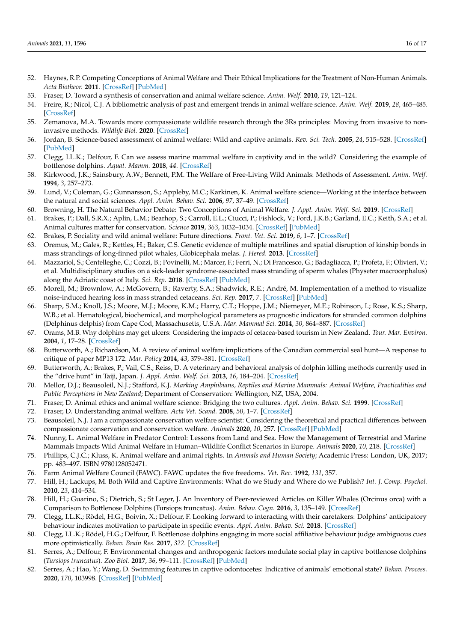- <span id="page-15-0"></span>52. Haynes, R.P. Competing Conceptions of Animal Welfare and Their Ethical Implications for the Treatment of Non-Human Animals. *Acta Biotheor.* **2011**. [\[CrossRef\]](http://doi.org/10.1007/s10441-011-9124-2) [\[PubMed\]](http://www.ncbi.nlm.nih.gov/pubmed/21305338)
- <span id="page-15-1"></span>53. Fraser, D. Toward a synthesis of conservation and animal welfare science. *Anim. Welf.* **2010**, *19*, 121–124.
- <span id="page-15-2"></span>54. Freire, R.; Nicol, C.J. A bibliometric analysis of past and emergent trends in animal welfare science. *Anim. Welf.* **2019**, *28*, 465–485. [\[CrossRef\]](http://doi.org/10.7120/09627286.28.4.465)
- <span id="page-15-3"></span>55. Zemanova, M.A. Towards more compassionate wildlife research through the 3Rs principles: Moving from invasive to noninvasive methods. *Wildlife Biol.* **2020**. [\[CrossRef\]](http://doi.org/10.2981/wlb.00607)
- 56. Jordan, B. Science-based assessment of animal welfare: Wild and captive animals. *Rev. Sci. Tech.* **2005**, *24*, 515–528. [\[CrossRef\]](http://doi.org/10.20506/rst.24.2.1588) [\[PubMed\]](http://www.ncbi.nlm.nih.gov/pubmed/16358505)
- <span id="page-15-26"></span>57. Clegg, I.L.K.; Delfour, F. Can we assess marine mammal welfare in captivity and in the wild? Considering the example of bottlenose dolphins. *Aquat. Mamm.* **2018**, *44*. [\[CrossRef\]](http://doi.org/10.1578/AM.44.2.2018.181)
- <span id="page-15-4"></span>58. Kirkwood, J.K.; Sainsbury, A.W.; Bennett, P.M. The Welfare of Free-Living Wild Animals: Methods of Assessment. *Anim. Welf.* **1994**, *3*, 257–273.
- <span id="page-15-5"></span>59. Lund, V.; Coleman, G.; Gunnarsson, S.; Appleby, M.C.; Karkinen, K. Animal welfare science—Working at the interface between the natural and social sciences. *Appl. Anim. Behav. Sci.* **2006**, *97*, 37–49. [\[CrossRef\]](http://doi.org/10.1016/j.applanim.2005.11.017)
- <span id="page-15-6"></span>60. Browning, H. The Natural Behavior Debate: Two Conceptions of Animal Welfare. *J. Appl. Anim. Welf. Sci.* **2019**. [\[CrossRef\]](http://doi.org/10.1080/10888705.2019.1672552)
- <span id="page-15-7"></span>61. Brakes, P.; Dall, S.R.X.; Aplin, L.M.; Bearhop, S.; Carroll, E.L.; Ciucci, P.; Fishlock, V.; Ford, J.K.B.; Garland, E.C.; Keith, S.A.; et al. Animal cultures matter for conservation. *Science* **2019**, *363*, 1032–1034. [\[CrossRef\]](http://doi.org/10.1126/science.aaw3557) [\[PubMed\]](http://www.ncbi.nlm.nih.gov/pubmed/30808816)
- <span id="page-15-8"></span>62. Brakes, P. Sociality and wild animal welfare: Future directions. *Front. Vet. Sci.* **2019**, *6*, 1–7. [\[CrossRef\]](http://doi.org/10.3389/fvets.2019.00062)
- <span id="page-15-9"></span>63. Oremus, M.; Gales, R.; Kettles, H.; Baker, C.S. Genetic evidence of multiple matrilines and spatial disruption of kinship bonds in mass strandings of long-finned pilot whales, Globicephala melas. *J. Hered.* **2013**. [\[CrossRef\]](http://doi.org/10.1093/jhered/est007)
- <span id="page-15-10"></span>64. Mazzariol, S.; Centelleghe, C.; Cozzi, B.; Povinelli, M.; Marcer, F.; Ferri, N.; Di Francesco, G.; Badagliacca, P.; Profeta, F.; Olivieri, V.; et al. Multidisciplinary studies on a sick-leader syndrome-associated mass stranding of sperm whales (Physeter macrocephalus) along the Adriatic coast of Italy. *Sci. Rep.* **2018**. [\[CrossRef\]](http://doi.org/10.1038/s41598-018-29966-7) [\[PubMed\]](http://www.ncbi.nlm.nih.gov/pubmed/30068967)
- <span id="page-15-11"></span>65. Morell, M.; Brownlow, A.; McGovern, B.; Raverty, S.A.; Shadwick, R.E.; André, M. Implementation of a method to visualize noise-induced hearing loss in mass stranded cetaceans. *Sci. Rep.* **2017**, *7*. [\[CrossRef\]](http://doi.org/10.1038/srep41848) [\[PubMed\]](http://www.ncbi.nlm.nih.gov/pubmed/28165504)
- <span id="page-15-12"></span>66. Sharp, S.M.; Knoll, J.S.; Moore, M.J.; Moore, K.M.; Harry, C.T.; Hoppe, J.M.; Niemeyer, M.E.; Robinson, I.; Rose, K.S.; Sharp, W.B.; et al. Hematological, biochemical, and morphological parameters as prognostic indicators for stranded common dolphins (Delphinus delphis) from Cape Cod, Massachusetts, U.S.A. *Mar. Mammal Sci.* **2014**, *30*, 864–887. [\[CrossRef\]](http://doi.org/10.1111/mms.12093)
- <span id="page-15-13"></span>67. Orams, M.B. Why dolphins may get ulcers: Considering the impacts of cetacea-based tourism in New Zealand. *Tour. Mar. Environ.* **2004**, *1*, 17–28. [\[CrossRef\]](http://doi.org/10.3727/154427304774865878)
- 68. Butterworth, A.; Richardson, M. A review of animal welfare implications of the Canadian commercial seal hunt—A response to critique of paper MP13 172. *Mar. Policy* **2014**, *43*, 379–381. [\[CrossRef\]](http://doi.org/10.1016/j.marpol.2013.07.010)
- <span id="page-15-14"></span>69. Butterworth, A.; Brakes, P.; Vail, C.S.; Reiss, D. A veterinary and behavioral analysis of dolphin killing methods currently used in the "drive hunt" in Taiji, Japan. *J. Appl. Anim. Welf. Sci.* **2013**, *16*, 184–204. [\[CrossRef\]](http://doi.org/10.1080/10888705.2013.768925)
- <span id="page-15-15"></span>70. Mellor, D.J.; Beausoleil, N.J.; Stafford, K.J. *Marking Amphibians, Reptiles and Marine Mammals: Animal Welfare, Practicalities and Public Perceptions in New Zealand*; Department of Conservation: Wellington, NZ, USA, 2004.
- <span id="page-15-16"></span>71. Fraser, D. Animal ethics and animal welfare science: Bridging the two cultures. *Appl. Anim. Behav. Sci.* **1999**. [\[CrossRef\]](http://doi.org/10.1016/S0168-1591(99)00090-8)
- <span id="page-15-17"></span>72. Fraser, D. Understanding animal welfare. *Acta Vet. Scand.* **2008**, *50*, 1–7. [\[CrossRef\]](http://doi.org/10.1186/1751-0147-50-S1-S1)
- <span id="page-15-18"></span>73. Beausoleil, N.J. I am a compassionate conservation welfare scientist: Considering the theoretical and practical differences between compassionate conservation and conservation welfare. *Animals* **2020**, *10*, 257. [\[CrossRef\]](http://doi.org/10.3390/ani10020257) [\[PubMed\]](http://www.ncbi.nlm.nih.gov/pubmed/32041150)
- <span id="page-15-19"></span>74. Nunny, L. Animal Welfare in Predator Control: Lessons from Land and Sea. How the Management of Terrestrial and Marine Mammals Impacts Wild Animal Welfare in Human–Wildlife Conflict Scenarios in Europe. *Animals* **2020**, *10*, 218. [\[CrossRef\]](http://doi.org/10.3390/ani10020218)
- <span id="page-15-20"></span>75. Phillips, C.J.C.; Kluss, K. Animal welfare and animal rights. In *Animals and Human Society*; Academic Press: London, UK, 2017; pp. 483–497. ISBN 9780128052471.
- <span id="page-15-21"></span>76. Farm Animal Welfare Council (FAWC). FAWC updates the five freedoms. *Vet. Rec.* **1992**, *131*, 357.
- <span id="page-15-22"></span>77. Hill, H.; Lackups, M. Both Wild and Captive Environments: What do we Study and Where do we Publish? *Int. J. Comp. Psychol.* **2010**, *23*, 414–534.
- <span id="page-15-23"></span>78. Hill, H.; Guarino, S.; Dietrich, S.; St Leger, J. An Inventory of Peer-reviewed Articles on Killer Whales (Orcinus orca) with a Comparison to Bottlenose Dolphins (Tursiops truncatus). *Anim. Behav. Cogn.* **2016**, *3*, 135–149. [\[CrossRef\]](http://doi.org/10.12966/abc.03.08.2016)
- <span id="page-15-24"></span>79. Clegg, I.L.K.; Rödel, H.G.; Boivin, X.; Delfour, F. Looking forward to interacting with their caretakers: Dolphins' anticipatory behaviour indicates motivation to participate in specific events. *Appl. Anim. Behav. Sci.* **2018**. [\[CrossRef\]](http://doi.org/10.1016/j.applanim.2018.01.015)
- 80. Clegg, I.L.K.; Rödel, H.G.; Delfour, F. Bottlenose dolphins engaging in more social affiliative behaviour judge ambiguous cues more optimistically. *Behav. Brain Res.* **2017**, *322*. [\[CrossRef\]](http://doi.org/10.1016/j.bbr.2017.01.026)
- 81. Serres, A.; Delfour, F. Environmental changes and anthropogenic factors modulate social play in captive bottlenose dolphins (*Tursiops truncatus*). *Zoo Biol.* **2017**, *36*, 99–111. [\[CrossRef\]](http://doi.org/10.1002/zoo.21355) [\[PubMed\]](http://www.ncbi.nlm.nih.gov/pubmed/28221675)
- <span id="page-15-25"></span>82. Serres, A.; Hao, Y.; Wang, D. Swimming features in captive odontocetes: Indicative of animals' emotional state? *Behav. Process.* **2020**, *170*, 103998. [\[CrossRef\]](http://doi.org/10.1016/j.beproc.2019.103998) [\[PubMed\]](http://www.ncbi.nlm.nih.gov/pubmed/31705925)